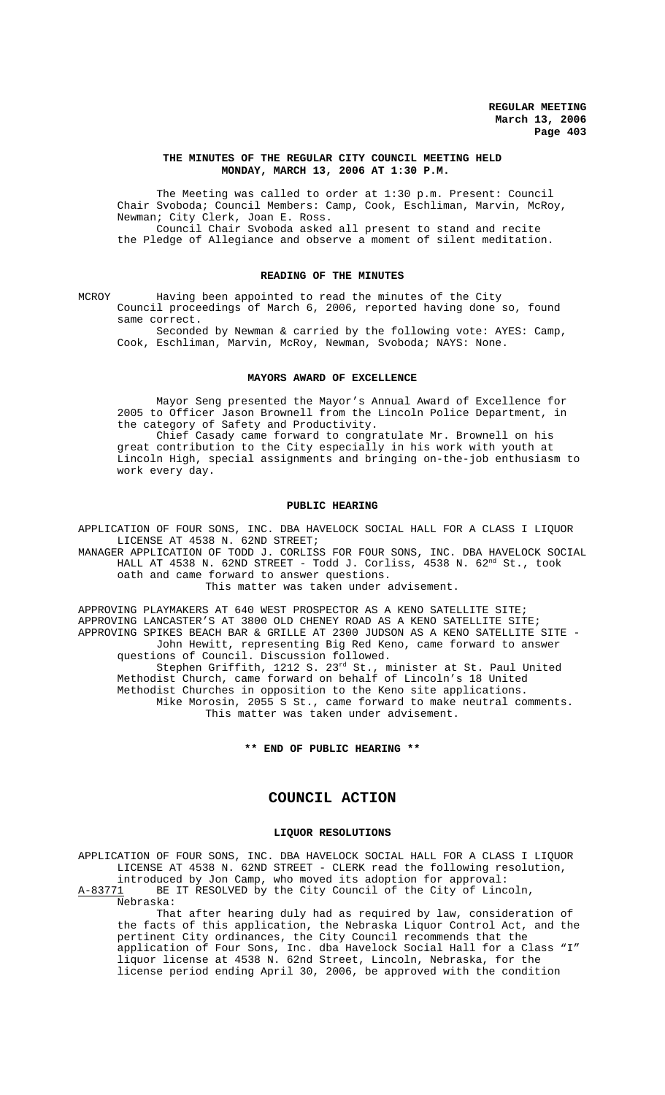#### **THE MINUTES OF THE REGULAR CITY COUNCIL MEETING HELD MONDAY, MARCH 13, 2006 AT 1:30 P.M.**

The Meeting was called to order at 1:30 p.m. Present: Council Chair Svoboda; Council Members: Camp, Cook, Eschliman, Marvin, McRoy, Newman; City Clerk, Joan E. Ross. Council Chair Svoboda asked all present to stand and recite

the Pledge of Allegiance and observe a moment of silent meditation.

# **READING OF THE MINUTES**

MCROY Having been appointed to read the minutes of the City Council proceedings of March 6, 2006, reported having done so, found same correct.

Seconded by Newman & carried by the following vote: AYES: Camp, Cook, Eschliman, Marvin, McRoy, Newman, Svoboda; NAYS: None.

#### **MAYORS AWARD OF EXCELLENCE**

Mayor Seng presented the Mayor's Annual Award of Excellence for 2005 to Officer Jason Brownell from the Lincoln Police Department, in the category of Safety and Productivity.

Chief Casady came forward to congratulate Mr. Brownell on his great contribution to the City especially in his work with youth at Lincoln High, special assignments and bringing on-the-job enthusiasm to work every day.

#### **PUBLIC HEARING**

APPLICATION OF FOUR SONS, INC. DBA HAVELOCK SOCIAL HALL FOR A CLASS I LIQUOR LICENSE AT 4538 N. 62ND STREET;

MANAGER APPLICATION OF TODD J. CORLISS FOR FOUR SONS, INC. DBA HAVELOCK SOCIAL HALL AT 4538 N. 62ND STREET - Todd J. Corliss, 4538 N. 62<sup>nd</sup> St., took oath and came forward to answer questions.

This matter was taken under advisement.

APPROVING PLAYMAKERS AT 640 WEST PROSPECTOR AS A KENO SATELLITE SITE; APPROVING LANCASTER'S AT 3800 OLD CHENEY ROAD AS A KENO SATELLITE SITE; APPROVING SPIKES BEACH BAR & GRILLE AT 2300 JUDSON AS A KENO SATELLITE SITE - John Hewitt, representing Big Red Keno, came forward to answer questions of Council. Discussion followed. Stephen Griffith, 1212 S. 23<sup>rd</sup> St., minister at St. Paul United Methodist Church, came forward on behalf of Lincoln's 18 United Methodist Churches in opposition to the Keno site applications. Mike Morosin, 2055 S St., came forward to make neutral comments. This matter was taken under advisement.

**\*\* END OF PUBLIC HEARING \*\***

# **COUNCIL ACTION**

#### **LIQUOR RESOLUTIONS**

APPLICATION OF FOUR SONS, INC. DBA HAVELOCK SOCIAL HALL FOR A CLASS I LIQUOR LICENSE AT 4538 N. 62ND STREET - CLERK read the following resolution, introduced by Jon Camp, who moved its adoption for approval: A-83771 BE IT RESOLVED by the City Council of the City of Lincoln,

Nebraska:

That after hearing duly had as required by law, consideration of the facts of this application, the Nebraska Liquor Control Act, and the pertinent City ordinances, the City Council recommends that the application of Four Sons, Inc. dba Havelock Social Hall for a Class "I" liquor license at 4538 N. 62nd Street, Lincoln, Nebraska, for the license period ending April 30, 2006, be approved with the condition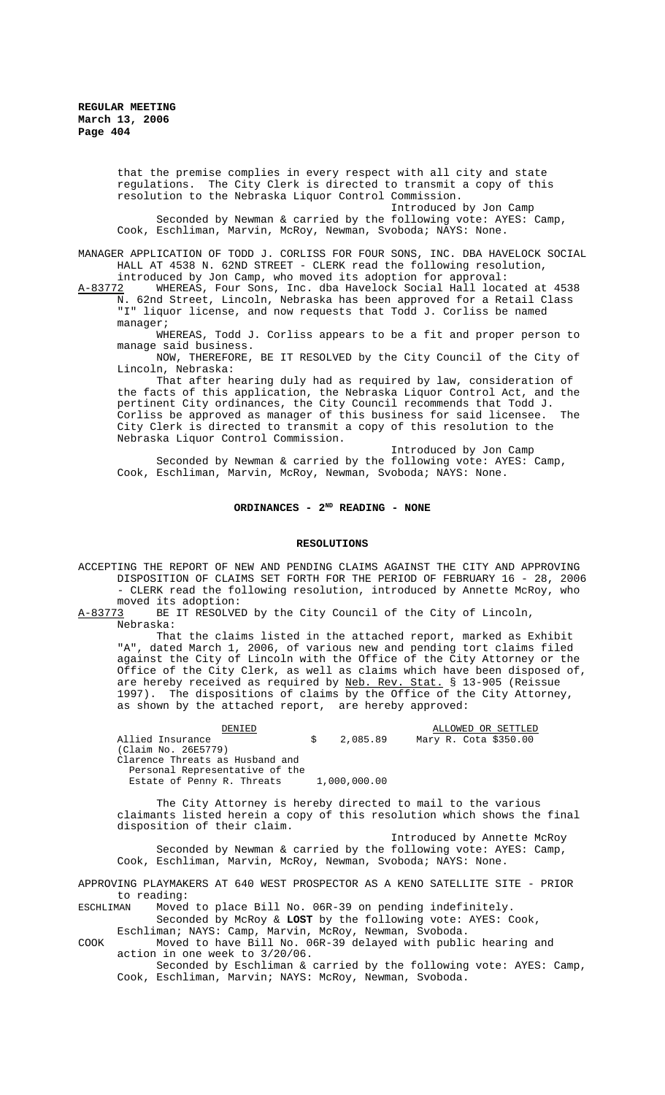that the premise complies in every respect with all city and state regulations. The City Clerk is directed to transmit a copy of this resolution to the Nebraska Liquor Control Commission.

Introduced by Jon Camp

Seconded by Newman & carried by the following vote: AYES: Camp, Cook, Eschliman, Marvin, McRoy, Newman, Svoboda; NAYS: None.

MANAGER APPLICATION OF TODD J. CORLISS FOR FOUR SONS, INC. DBA HAVELOCK SOCIAL HALL AT 4538 N. 62ND STREET - CLERK read the following resolution,

introduced by Jon Camp, who moved its adoption for approval:<br>2 WHEREAS, Four Sons, Inc. dba Havelock Social Hall located at 4538 A-83772 WHEREAS, Four Sons, Inc. dba Havelock Social Hall located at 4538 N. 62nd Street, Lincoln, Nebraska has been approved for a Retail Class "I" liquor license, and now requests that Todd J. Corliss be named manager;

WHEREAS, Todd J. Corliss appears to be a fit and proper person to manage said business.

NOW, THEREFORE, BE IT RESOLVED by the City Council of the City of Lincoln, Nebraska:

That after hearing duly had as required by law, consideration of the facts of this application, the Nebraska Liquor Control Act, and the pertinent City ordinances, the City Council recommends that Todd J. Corliss be approved as manager of this business for said licensee. The City Clerk is directed to transmit a copy of this resolution to the Nebraska Liquor Control Commission.

Introduced by Jon Camp

Seconded by Newman & carried by the following vote: AYES: Camp, Cook, Eschliman, Marvin, McRoy, Newman, Svoboda; NAYS: None.

### ORDINANCES - 2<sup>ND</sup> READING - NONE

# **RESOLUTIONS**

ACCEPTING THE REPORT OF NEW AND PENDING CLAIMS AGAINST THE CITY AND APPROVING DISPOSITION OF CLAIMS SET FORTH FOR THE PERIOD OF FEBRUARY 16 - 28, 2006 - CLERK read the following resolution, introduced by Annette McRoy, who

moved its adoption:<br>A-83773 BE IT RESOLVE BE IT RESOLVED by the City Council of the City of Lincoln, Nebraska:

That the claims listed in the attached report, marked as Exhibit "A", dated March 1, 2006, of various new and pending tort claims filed against the City of Lincoln with the Office of the City Attorney or the Office of the City Clerk, as well as claims which have been disposed of, are hereby received as required by Neb. Rev. Stat. § 13-905 (Reissue 1997). The dispositions of claims by the Office of the City Attorney, as shown by the attached report, are hereby approved:

| חת דואתר                        |  |              |  | ALLOWED OR SETTLED |                       |  |
|---------------------------------|--|--------------|--|--------------------|-----------------------|--|
| Allied Insurance                |  | \$2.085.89   |  |                    | Mary R. Cota \$350.00 |  |
| (Claim No. 26E5779)             |  |              |  |                    |                       |  |
| Clarence Threats as Husband and |  |              |  |                    |                       |  |
| Personal Representative of the  |  |              |  |                    |                       |  |
| Estate of Penny R. Threats      |  | 1,000,000.00 |  |                    |                       |  |

The City Attorney is hereby directed to mail to the various claimants listed herein a copy of this resolution which shows the final disposition of their claim.

Introduced by Annette McRoy Seconded by Newman & carried by the following vote: AYES: Camp, Cook, Eschliman, Marvin, McRoy, Newman, Svoboda; NAYS: None.

APPROVING PLAYMAKERS AT 640 WEST PROSPECTOR AS A KENO SATELLITE SITE - PRIOR to reading:<br>ESCHLIMAN Moved

Moved to place Bill No. 06R-39 on pending indefinitely. Seconded by McRoy & **LOST** by the following vote: AYES: Cook,

Eschliman; NAYS: Camp, Marvin, McRoy, Newman, Svoboda. COOK Moved to have Bill No. 06R-39 delayed with public hearing and action in one week to 3/20/06.

Seconded by Eschliman & carried by the following vote: AYES: Camp, Cook, Eschliman, Marvin; NAYS: McRoy, Newman, Svoboda.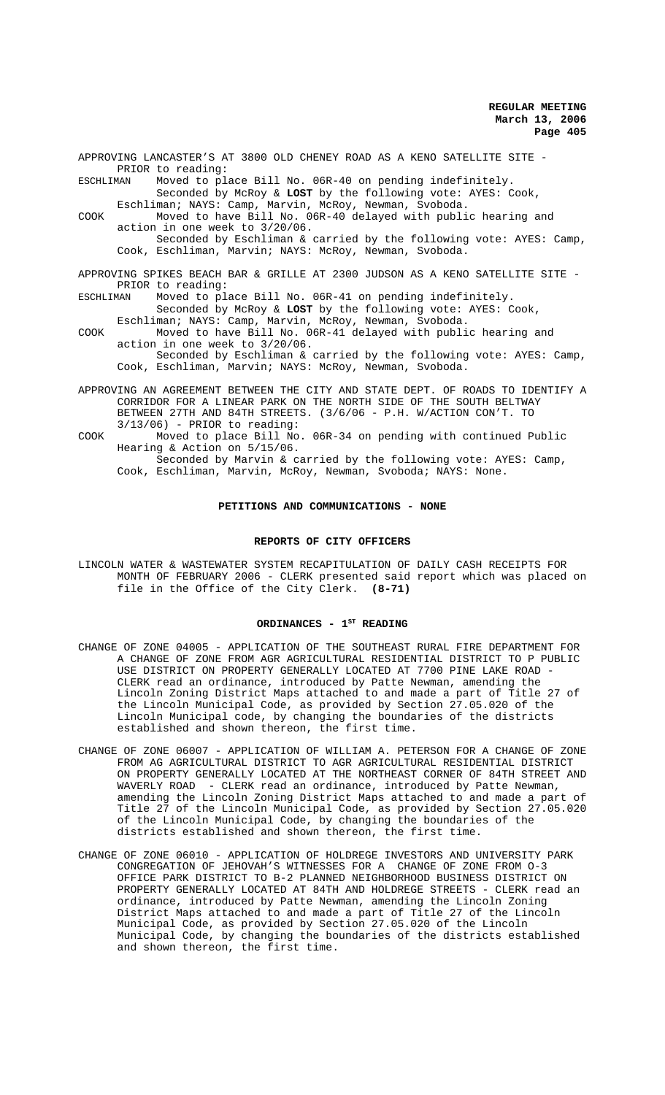APPROVING LANCASTER'S AT 3800 OLD CHENEY ROAD AS A KENO SATELLITE SITE - PRIOR to reading: ESCHLIMAN Moved to place Bill No. 06R-40 on pending indefinitely. Seconded by McRoy & **LOST** by the following vote: AYES: Cook, Eschliman; NAYS: Camp, Marvin, McRoy, Newman, Svoboda. COOK Moved to have Bill No. 06R-40 delayed with public hearing and action in one week to 3/20/06.

Seconded by Eschliman & carried by the following vote: AYES: Camp, Cook, Eschliman, Marvin; NAYS: McRoy, Newman, Svoboda.

APPROVING SPIKES BEACH BAR & GRILLE AT 2300 JUDSON AS A KENO SATELLITE SITE - PRIOR to reading:

# ESCHLIMAN Moved to place Bill No. 06R-41 on pending indefinitely. Seconded by McRoy & **LOST** by the following vote: AYES: Cook,

Eschliman; NAYS: Camp, Marvin, McRoy, Newman, Svoboda. COOK Moved to have Bill No. 06R-41 delayed with public hearing and action in one week to 3/20/06.

Seconded by Eschliman & carried by the following vote: AYES: Camp, Cook, Eschliman, Marvin; NAYS: McRoy, Newman, Svoboda.

- APPROVING AN AGREEMENT BETWEEN THE CITY AND STATE DEPT. OF ROADS TO IDENTIFY A CORRIDOR FOR A LINEAR PARK ON THE NORTH SIDE OF THE SOUTH BELTWAY BETWEEN 27TH AND 84TH STREETS. (3/6/06 - P.H. W/ACTION CON'T. TO  $3/13/06$ ) - PRIOR to reading:
- COOK Moved to place Bill No. 06R-34 on pending with continued Public Hearing & Action on 5/15/06.

Seconded by Marvin & carried by the following vote: AYES: Camp, Cook, Eschliman, Marvin, McRoy, Newman, Svoboda; NAYS: None.

### **PETITIONS AND COMMUNICATIONS - NONE**

### **REPORTS OF CITY OFFICERS**

LINCOLN WATER & WASTEWATER SYSTEM RECAPITULATION OF DAILY CASH RECEIPTS FOR MONTH OF FEBRUARY 2006 - CLERK presented said report which was placed on file in the Office of the City Clerk. **(8-71)**

#### ORDINANCES - 1<sup>ST</sup> READING

- CHANGE OF ZONE 04005 APPLICATION OF THE SOUTHEAST RURAL FIRE DEPARTMENT FOR A CHANGE OF ZONE FROM AGR AGRICULTURAL RESIDENTIAL DISTRICT TO P PUBLIC USE DISTRICT ON PROPERTY GENERALLY LOCATED AT 7700 PINE LAKE ROAD - CLERK read an ordinance, introduced by Patte Newman, amending the Lincoln Zoning District Maps attached to and made a part of Title 27 of the Lincoln Municipal Code, as provided by Section 27.05.020 of the Lincoln Municipal code, by changing the boundaries of the districts established and shown thereon, the first time.
- CHANGE OF ZONE 06007 APPLICATION OF WILLIAM A. PETERSON FOR A CHANGE OF ZONE FROM AG AGRICULTURAL DISTRICT TO AGR AGRICULTURAL RESIDENTIAL DISTRICT ON PROPERTY GENERALLY LOCATED AT THE NORTHEAST CORNER OF 84TH STREET AND WAVERLY ROAD - CLERK read an ordinance, introduced by Patte Newman, amending the Lincoln Zoning District Maps attached to and made a part of Title 27 of the Lincoln Municipal Code, as provided by Section 27.05.020 of the Lincoln Municipal Code, by changing the boundaries of the districts established and shown thereon, the first time.
- CHANGE OF ZONE 06010 APPLICATION OF HOLDREGE INVESTORS AND UNIVERSITY PARK CONGREGATION OF JEHOVAH'S WITNESSES FOR A CHANGE OF ZONE FROM O-3 OFFICE PARK DISTRICT TO B-2 PLANNED NEIGHBORHOOD BUSINESS DISTRICT ON PROPERTY GENERALLY LOCATED AT 84TH AND HOLDREGE STREETS - CLERK read an ordinance, introduced by Patte Newman, amending the Lincoln Zoning District Maps attached to and made a part of Title 27 of the Lincoln Municipal Code, as provided by Section 27.05.020 of the Lincoln Municipal Code, by changing the boundaries of the districts established and shown thereon, the first time.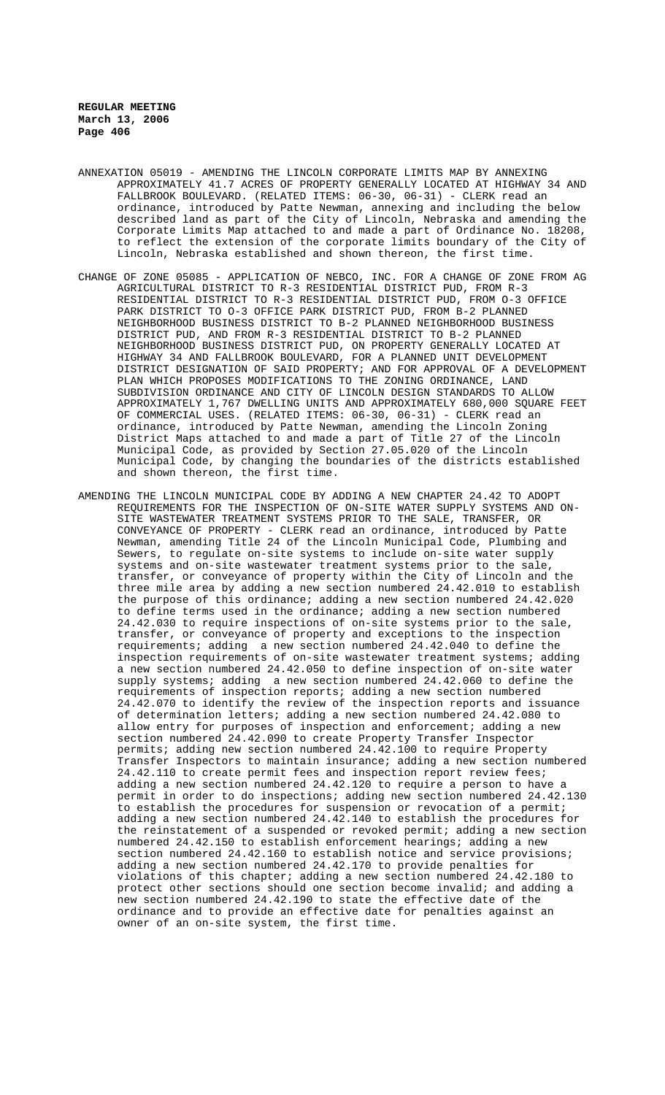- ANNEXATION 05019 AMENDING THE LINCOLN CORPORATE LIMITS MAP BY ANNEXING APPROXIMATELY 41.7 ACRES OF PROPERTY GENERALLY LOCATED AT HIGHWAY 34 AND FALLBROOK BOULEVARD. (RELATED ITEMS: 06-30, 06-31) - CLERK read an ordinance, introduced by Patte Newman, annexing and including the below described land as part of the City of Lincoln, Nebraska and amending the Corporate Limits Map attached to and made a part of Ordinance No. 18208, to reflect the extension of the corporate limits boundary of the City of Lincoln, Nebraska established and shown thereon, the first time.
- CHANGE OF ZONE 05085 APPLICATION OF NEBCO, INC. FOR A CHANGE OF ZONE FROM AG AGRICULTURAL DISTRICT TO R-3 RESIDENTIAL DISTRICT PUD, FROM R-3 RESIDENTIAL DISTRICT TO R-3 RESIDENTIAL DISTRICT PUD, FROM O-3 OFFICE PARK DISTRICT TO O-3 OFFICE PARK DISTRICT PUD, FROM B-2 PLANNED NEIGHBORHOOD BUSINESS DISTRICT TO B-2 PLANNED NEIGHBORHOOD BUSINESS DISTRICT PUD, AND FROM R-3 RESIDENTIAL DISTRICT TO B-2 PLANNED NEIGHBORHOOD BUSINESS DISTRICT PUD, ON PROPERTY GENERALLY LOCATED AT HIGHWAY 34 AND FALLBROOK BOULEVARD, FOR A PLANNED UNIT DEVELOPMENT DISTRICT DESIGNATION OF SAID PROPERTY; AND FOR APPROVAL OF A DEVELOPMENT PLAN WHICH PROPOSES MODIFICATIONS TO THE ZONING ORDINANCE, LAND SUBDIVISION ORDINANCE AND CITY OF LINCOLN DESIGN STANDARDS TO ALLOW APPROXIMATELY 1,767 DWELLING UNITS AND APPROXIMATELY 680,000 SQUARE FEET OF COMMERCIAL USES. (RELATED ITEMS: 06-30, 06-31) - CLERK read an ordinance, introduced by Patte Newman, amending the Lincoln Zoning District Maps attached to and made a part of Title 27 of the Lincoln Municipal Code, as provided by Section 27.05.020 of the Lincoln Municipal Code, by changing the boundaries of the districts established and shown thereon, the first time.
- AMENDING THE LINCOLN MUNICIPAL CODE BY ADDING A NEW CHAPTER 24.42 TO ADOPT REQUIREMENTS FOR THE INSPECTION OF ON-SITE WATER SUPPLY SYSTEMS AND ON-SITE WASTEWATER TREATMENT SYSTEMS PRIOR TO THE SALE, TRANSFER, OR CONVEYANCE OF PROPERTY - CLERK read an ordinance, introduced by Patte Newman, amending Title 24 of the Lincoln Municipal Code, Plumbing and Sewers, to regulate on-site systems to include on-site water supply systems and on-site wastewater treatment systems prior to the sale, transfer, or conveyance of property within the City of Lincoln and the three mile area by adding a new section numbered 24.42.010 to establish the purpose of this ordinance; adding a new section numbered 24.42.020 to define terms used in the ordinance; adding a new section numbered 24.42.030 to require inspections of on-site systems prior to the sale, transfer, or conveyance of property and exceptions to the inspection requirements; adding a new section numbered 24.42.040 to define the inspection requirements of on-site wastewater treatment systems; adding a new section numbered 24.42.050 to define inspection of on-site water supply systems; adding a new section numbered 24.42.060 to define the requirements of inspection reports; adding a new section numbered 24.42.070 to identify the review of the inspection reports and issuance of determination letters; adding a new section numbered 24.42.080 to allow entry for purposes of inspection and enforcement; adding a new section numbered 24.42.090 to create Property Transfer Inspector permits; adding new section numbered 24.42.100 to require Property Transfer Inspectors to maintain insurance; adding a new section numbered 24.42.110 to create permit fees and inspection report review fees; adding a new section numbered 24.42.120 to require a person to have a permit in order to do inspections; adding new section numbered 24.42.130 to establish the procedures for suspension or revocation of a permit; adding a new section numbered 24.42.140 to establish the procedures for the reinstatement of a suspended or revoked permit; adding a new section numbered 24.42.150 to establish enforcement hearings; adding a new section numbered 24.42.160 to establish notice and service provisions; adding a new section numbered 24.42.170 to provide penalties for violations of this chapter; adding a new section numbered 24.42.180 to protect other sections should one section become invalid; and adding a new section numbered 24.42.190 to state the effective date of the ordinance and to provide an effective date for penalties against an owner of an on-site system, the first time.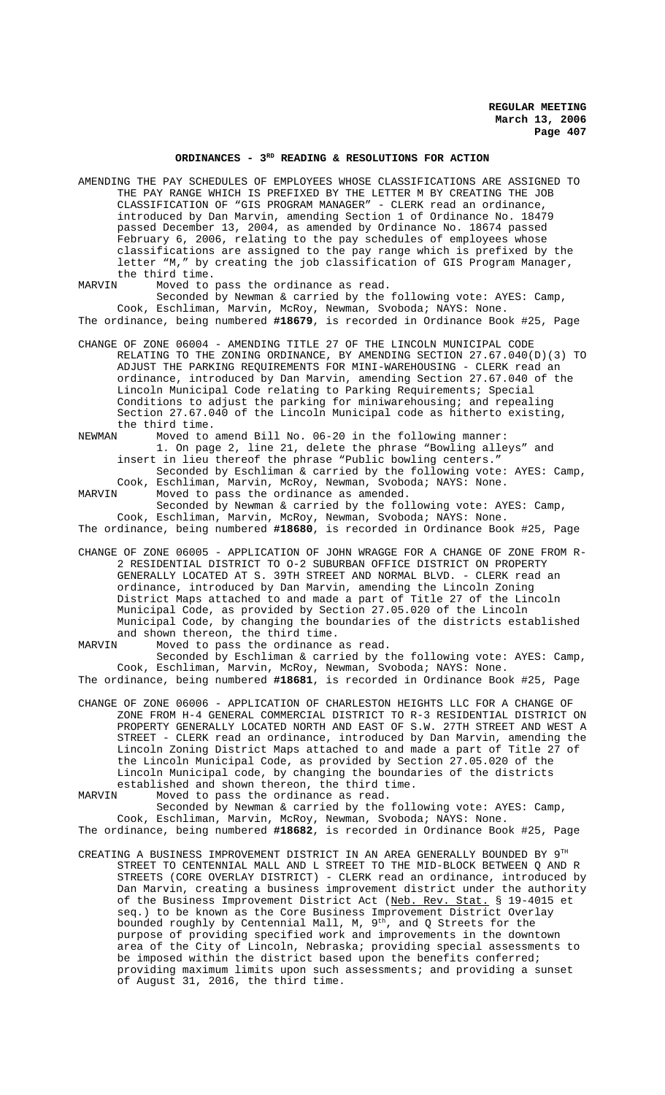# ORDINANCES - 3<sup>RD</sup> READING & RESOLUTIONS FOR ACTION

AMENDING THE PAY SCHEDULES OF EMPLOYEES WHOSE CLASSIFICATIONS ARE ASSIGNED TO THE PAY RANGE WHICH IS PREFIXED BY THE LETTER M BY CREATING THE JOB CLASSIFICATION OF "GIS PROGRAM MANAGER" - CLERK read an ordinance, introduced by Dan Marvin, amending Section 1 of Ordinance No. 18479 passed December 13, 2004, as amended by Ordinance No. 18674 passed February 6, 2006, relating to the pay schedules of employees whose classifications are assigned to the pay range which is prefixed by the letter "M," by creating the job classification of GIS Program Manager, the third time.<br>MARVIN Moved to

Moved to pass the ordinance as read.

Seconded by Newman & carried by the following vote: AYES: Camp, Cook, Eschliman, Marvin, McRoy, Newman, Svoboda; NAYS: None. The ordinance, being numbered **#18679**, is recorded in Ordinance Book #25, Page

CHANGE OF ZONE 06004 - AMENDING TITLE 27 OF THE LINCOLN MUNICIPAL CODE RELATING TO THE ZONING ORDINANCE, BY AMENDING SECTION 27.67.040(D)(3) TO ADJUST THE PARKING REQUIREMENTS FOR MINI-WAREHOUSING - CLERK read an ordinance, introduced by Dan Marvin, amending Section 27.67.040 of the Lincoln Municipal Code relating to Parking Requirements; Special Conditions to adjust the parking for miniwarehousing; and repealing Section 27.67.040 of the Lincoln Municipal code as hitherto existing, the third time.<br>NEWMAN Moved to

Moved to amend Bill No. 06-20 in the following manner: 1. On page 2, line 21, delete the phrase "Bowling alleys" and insert in lieu thereof the phrase "Public bowling centers."

Seconded by Eschliman & carried by the following vote: AYES: Camp, Cook, Eschliman, Marvin, McRoy, Newman, Svoboda; NAYS: None.<br>MARVIN Moved to pass the ordinance as amended.

Moved to pass the ordinance as amended.

Seconded by Newman & carried by the following vote: AYES: Camp, Cook, Eschliman, Marvin, McRoy, Newman, Svoboda; NAYS: None. The ordinance, being numbered **#18680**, is recorded in Ordinance Book #25, Page

CHANGE OF ZONE 06005 - APPLICATION OF JOHN WRAGGE FOR A CHANGE OF ZONE FROM R-2 RESIDENTIAL DISTRICT TO O-2 SUBURBAN OFFICE DISTRICT ON PROPERTY GENERALLY LOCATED AT S. 39TH STREET AND NORMAL BLVD. - CLERK read an

ordinance, introduced by Dan Marvin, amending the Lincoln Zoning District Maps attached to and made a part of Title 27 of the Lincoln Municipal Code, as provided by Section 27.05.020 of the Lincoln Municipal Code, by changing the boundaries of the districts established and shown thereon, the third time.<br>MARVIN Moved to pass the ordinance

Moved to pass the ordinance as read. Seconded by Eschliman & carried by the following vote: AYES: Camp, Cook, Eschliman, Marvin, McRoy, Newman, Svoboda; NAYS: None. The ordinance, being numbered **#18681**, is recorded in Ordinance Book #25, Page

CHANGE OF ZONE 06006 - APPLICATION OF CHARLESTON HEIGHTS LLC FOR A CHANGE OF ZONE FROM H-4 GENERAL COMMERCIAL DISTRICT TO R-3 RESIDENTIAL DISTRICT ON PROPERTY GENERALLY LOCATED NORTH AND EAST OF S.W. 27TH STREET AND WEST A STREET - CLERK read an ordinance, introduced by Dan Marvin, amending the Lincoln Zoning District Maps attached to and made a part of Title 27 of the Lincoln Municipal Code, as provided by Section 27.05.020 of the Lincoln Municipal code, by changing the boundaries of the districts

established and shown thereon, the third time.<br>MARVIN Moved to pass the ordinance as read. Moved to pass the ordinance as read.

Seconded by Newman & carried by the following vote: AYES: Camp, Cook, Eschliman, Marvin, McRoy, Newman, Svoboda; NAYS: None. The ordinance, being numbered **#18682**, is recorded in Ordinance Book #25, Page

CREATING A BUSINESS IMPROVEMENT DISTRICT IN AN AREA GENERALLY BOUNDED BY  $9^{TH}$ STREET TO CENTENNIAL MALL AND L STREET TO THE MID-BLOCK BETWEEN Q AND R STREETS (CORE OVERLAY DISTRICT) - CLERK read an ordinance, introduced by Dan Marvin, creating a business improvement district under the authority of the Business Improvement District Act (Neb. Rev. Stat. § 19-4015 et seq.) to be known as the Core Business Improvement District Overlay bounded roughly by Centennial Mall, M,  $9^{\text{th}}$ , and Q Streets for the purpose of providing specified work and improvements in the downtown area of the City of Lincoln, Nebraska; providing special assessments to be imposed within the district based upon the benefits conferred; providing maximum limits upon such assessments; and providing a sunset of August 31, 2016, the third time.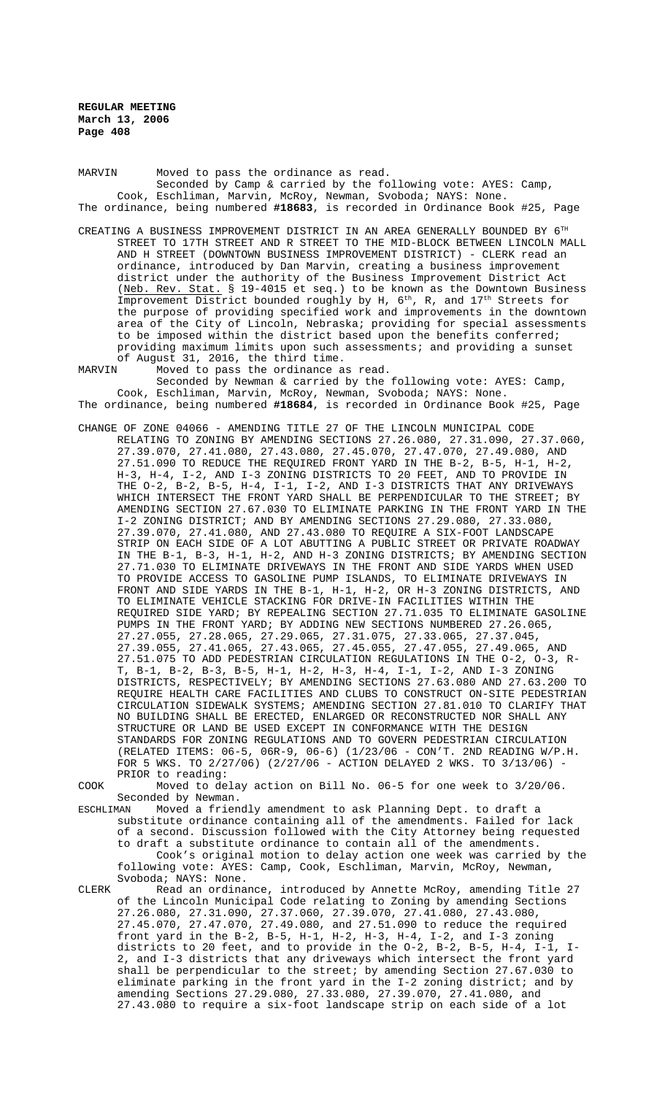MARVIN Moved to pass the ordinance as read. Seconded by Camp & carried by the following vote: AYES: Camp, Cook, Eschliman, Marvin, McRoy, Newman, Svoboda; NAYS: None. The ordinance, being numbered **#18683**, is recorded in Ordinance Book #25, Page

- CREATING A BUSINESS IMPROVEMENT DISTRICT IN AN AREA GENERALLY BOUNDED BY 6TH STREET TO 17TH STREET AND R STREET TO THE MID-BLOCK BETWEEN LINCOLN MALL AND H STREET (DOWNTOWN BUSINESS IMPROVEMENT DISTRICT) - CLERK read an ordinance, introduced by Dan Marvin, creating a business improvement district under the authority of the Business Improvement District Act (Neb. Rev. Stat. § 19-4015 et seq.) to be known as the Downtown Business Improvement District bounded roughly by H, 6<sup>th</sup>, R, and 17<sup>th</sup> Streets for the purpose of providing specified work and improvements in the downtown area of the City of Lincoln, Nebraska; providing for special assessments to be imposed within the district based upon the benefits conferred; providing maximum limits upon such assessments; and providing a sunset of August 31, 2016, the third time.
- MARVIN Moved to pass the ordinance as read. Seconded by Newman & carried by the following vote: AYES: Camp, Cook, Eschliman, Marvin, McRoy, Newman, Svoboda; NAYS: None.

The ordinance, being numbered **#18684**, is recorded in Ordinance Book #25, Page

CHANGE OF ZONE 04066 - AMENDING TITLE 27 OF THE LINCOLN MUNICIPAL CODE RELATING TO ZONING BY AMENDING SECTIONS 27.26.080, 27.31.090, 27.37.060, 27.39.070, 27.41.080, 27.43.080, 27.45.070, 27.47.070, 27.49.080, AND 27.51.090 TO REDUCE THE REQUIRED FRONT YARD IN THE B-2, B-5, H-1, H-2, H-3, H-4, I-2, AND I-3 ZONING DISTRICTS TO 20 FEET, AND TO PROVIDE IN THE O-2, B-2, B-5, H-4, I-1, I-2, AND I-3 DISTRICTS THAT ANY DRIVEWAYS WHICH INTERSECT THE FRONT YARD SHALL BE PERPENDICULAR TO THE STREET; BY AMENDING SECTION 27.67.030 TO ELIMINATE PARKING IN THE FRONT YARD IN THE I-2 ZONING DISTRICT; AND BY AMENDING SECTIONS 27.29.080, 27.33.080, 27.39.070, 27.41.080, AND 27.43.080 TO REQUIRE A SIX-FOOT LANDSCAPE STRIP ON EACH SIDE OF A LOT ABUTTING A PUBLIC STREET OR PRIVATE ROADWAY IN THE B-1, B-3, H-1, H-2, AND H-3 ZONING DISTRICTS; BY AMENDING SECTION 27.71.030 TO ELIMINATE DRIVEWAYS IN THE FRONT AND SIDE YARDS WHEN USED TO PROVIDE ACCESS TO GASOLINE PUMP ISLANDS, TO ELIMINATE DRIVEWAYS IN FRONT AND SIDE YARDS IN THE B-1, H-1, H-2, OR H-3 ZONING DISTRICTS, AND TO ELIMINATE VEHICLE STACKING FOR DRIVE-IN FACILITIES WITHIN THE REQUIRED SIDE YARD; BY REPEALING SECTION 27.71.035 TO ELIMINATE GASOLINE PUMPS IN THE FRONT YARD; BY ADDING NEW SECTIONS NUMBERED 27.26.065, 27.27.055, 27.28.065, 27.29.065, 27.31.075, 27.33.065, 27.37.045, 27.39.055, 27.41.065, 27.43.065, 27.45.055, 27.47.055, 27.49.065, AND 27.51.075 TO ADD PEDESTRIAN CIRCULATION REGULATIONS IN THE O-2, O-3, R-T, B-1, B-2, B-3, B-5, H-1, H-2, H-3, H-4, I-1, I-2, AND I-3 ZONING DISTRICTS, RESPECTIVELY; BY AMENDING SECTIONS 27.63.080 AND 27.63.200 TO REQUIRE HEALTH CARE FACILITIES AND CLUBS TO CONSTRUCT ON-SITE PEDESTRIAN CIRCULATION SIDEWALK SYSTEMS; AMENDING SECTION 27.81.010 TO CLARIFY THAT NO BUILDING SHALL BE ERECTED, ENLARGED OR RECONSTRUCTED NOR SHALL ANY STRUCTURE OR LAND BE USED EXCEPT IN CONFORMANCE WITH THE DESIGN STANDARDS FOR ZONING REGULATIONS AND TO GOVERN PEDESTRIAN CIRCULATION (RELATED ITEMS: 06-5, 06R-9, 06-6) (1/23/06 - CON'T. 2ND READING W/P.H. FOR 5 WKS. TO 2/27/06) (2/27/06 - ACTION DELAYED 2 WKS. TO 3/13/06) - PRIOR to reading:

COOK Moved to delay action on Bill No. 06-5 for one week to 3/20/06. Seconded by Newman.

ESCHLIMAN Moved a friendly amendment to ask Planning Dept. to draft a substitute ordinance containing all of the amendments. Failed for lack of a second. Discussion followed with the City Attorney being requested to draft a substitute ordinance to contain all of the amendments. Cook's original motion to delay action one week was carried by the following vote: AYES: Camp, Cook, Eschliman, Marvin, McRoy, Newman, Svoboda; NAYS: None.

CLERK Read an ordinance, introduced by Annette McRoy, amending Title 27 of the Lincoln Municipal Code relating to Zoning by amending Sections 27.26.080, 27.31.090, 27.37.060, 27.39.070, 27.41.080, 27.43.080, 27.45.070, 27.47.070, 27.49.080, and 27.51.090 to reduce the required front yard in the B-2, B-5, H-1, H-2, H-3, H-4, I-2, and I-3 zoning districts to 20 feet, and to provide in the O-2, B-2, B-5, H-4, I-1, I-2, and I-3 districts that any driveways which intersect the front yard shall be perpendicular to the street; by amending Section 27.67.030 to eliminate parking in the front yard in the I-2 zoning district; and by amending Sections 27.29.080, 27.33.080, 27.39.070, 27.41.080, and 27.43.080 to require a six-foot landscape strip on each side of a lot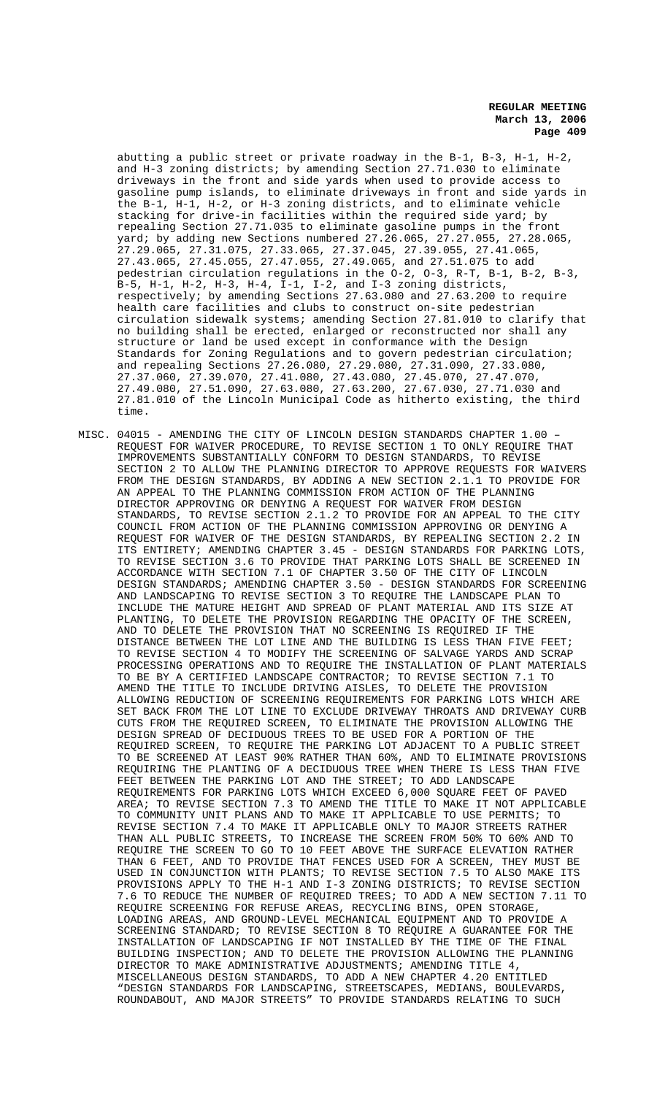abutting a public street or private roadway in the B-1, B-3, H-1, H-2, and H-3 zoning districts; by amending Section 27.71.030 to eliminate driveways in the front and side yards when used to provide access to gasoline pump islands, to eliminate driveways in front and side yards in the B-1, H-1, H-2, or H-3 zoning districts, and to eliminate vehicle stacking for drive-in facilities within the required side yard; by repealing Section 27.71.035 to eliminate gasoline pumps in the front yard; by adding new Sections numbered 27.26.065, 27.27.055, 27.28.065, 27.29.065, 27.31.075, 27.33.065, 27.37.045, 27.39.055, 27.41.065, 27.43.065, 27.45.055, 27.47.055, 27.49.065, and 27.51.075 to add pedestrian circulation regulations in the O-2, O-3, R-T, B-1, B-2, B-3, B-5, H-1, H-2, H-3, H-4, I-1, I-2, and I-3 zoning districts, respectively; by amending Sections 27.63.080 and 27.63.200 to require health care facilities and clubs to construct on-site pedestrian circulation sidewalk systems; amending Section 27.81.010 to clarify that no building shall be erected, enlarged or reconstructed nor shall any structure or land be used except in conformance with the Design Standards for Zoning Regulations and to govern pedestrian circulation; and repealing Sections 27.26.080, 27.29.080, 27.31.090, 27.33.080, 27.37.060, 27.39.070, 27.41.080, 27.43.080, 27.45.070, 27.47.070, 27.49.080, 27.51.090, 27.63.080, 27.63.200, 27.67.030, 27.71.030 and 27.81.010 of the Lincoln Municipal Code as hitherto existing, the third time.

MISC. 04015 - AMENDING THE CITY OF LINCOLN DESIGN STANDARDS CHAPTER 1.00 – REQUEST FOR WAIVER PROCEDURE, TO REVISE SECTION 1 TO ONLY REQUIRE THAT IMPROVEMENTS SUBSTANTIALLY CONFORM TO DESIGN STANDARDS, TO REVISE SECTION 2 TO ALLOW THE PLANNING DIRECTOR TO APPROVE REQUESTS FOR WAIVERS FROM THE DESIGN STANDARDS, BY ADDING A NEW SECTION 2.1.1 TO PROVIDE FOR AN APPEAL TO THE PLANNING COMMISSION FROM ACTION OF THE PLANNING DIRECTOR APPROVING OR DENYING A REQUEST FOR WAIVER FROM DESIGN STANDARDS, TO REVISE SECTION 2.1.2 TO PROVIDE FOR AN APPEAL TO THE CITY COUNCIL FROM ACTION OF THE PLANNING COMMISSION APPROVING OR DENYING A REQUEST FOR WAIVER OF THE DESIGN STANDARDS, BY REPEALING SECTION 2.2 IN ITS ENTIRETY; AMENDING CHAPTER 3.45 - DESIGN STANDARDS FOR PARKING LOTS, TO REVISE SECTION 3.6 TO PROVIDE THAT PARKING LOTS SHALL BE SCREENED IN ACCORDANCE WITH SECTION 7.1 OF CHAPTER 3.50 OF THE CITY OF LINCOLN DESIGN STANDARDS; AMENDING CHAPTER 3.50 - DESIGN STANDARDS FOR SCREENING AND LANDSCAPING TO REVISE SECTION 3 TO REQUIRE THE LANDSCAPE PLAN TO INCLUDE THE MATURE HEIGHT AND SPREAD OF PLANT MATERIAL AND ITS SIZE AT PLANTING, TO DELETE THE PROVISION REGARDING THE OPACITY OF THE SCREEN, AND TO DELETE THE PROVISION THAT NO SCREENING IS REQUIRED IF THE DISTANCE BETWEEN THE LOT LINE AND THE BUILDING IS LESS THAN FIVE FEET; TO REVISE SECTION 4 TO MODIFY THE SCREENING OF SALVAGE YARDS AND SCRAP PROCESSING OPERATIONS AND TO REQUIRE THE INSTALLATION OF PLANT MATERIALS TO BE BY A CERTIFIED LANDSCAPE CONTRACTOR; TO REVISE SECTION 7.1 TO AMEND THE TITLE TO INCLUDE DRIVING AISLES, TO DELETE THE PROVISION ALLOWING REDUCTION OF SCREENING REQUIREMENTS FOR PARKING LOTS WHICH ARE SET BACK FROM THE LOT LINE TO EXCLUDE DRIVEWAY THROATS AND DRIVEWAY CURB CUTS FROM THE REQUIRED SCREEN, TO ELIMINATE THE PROVISION ALLOWING THE DESIGN SPREAD OF DECIDUOUS TREES TO BE USED FOR A PORTION OF THE REQUIRED SCREEN, TO REQUIRE THE PARKING LOT ADJACENT TO A PUBLIC STREET TO BE SCREENED AT LEAST 90% RATHER THAN 60%, AND TO ELIMINATE PROVISIONS REQUIRING THE PLANTING OF A DECIDUOUS TREE WHEN THERE IS LESS THAN FIVE FEET BETWEEN THE PARKING LOT AND THE STREET; TO ADD LANDSCAPE REQUIREMENTS FOR PARKING LOTS WHICH EXCEED 6,000 SQUARE FEET OF PAVED AREA; TO REVISE SECTION 7.3 TO AMEND THE TITLE TO MAKE IT NOT APPLICABLE TO COMMUNITY UNIT PLANS AND TO MAKE IT APPLICABLE TO USE PERMITS; TO REVISE SECTION 7.4 TO MAKE IT APPLICABLE ONLY TO MAJOR STREETS RATHER THAN ALL PUBLIC STREETS, TO INCREASE THE SCREEN FROM 50% TO 60% AND TO REQUIRE THE SCREEN TO GO TO 10 FEET ABOVE THE SURFACE ELEVATION RATHER THAN 6 FEET, AND TO PROVIDE THAT FENCES USED FOR A SCREEN, THEY MUST BE USED IN CONJUNCTION WITH PLANTS; TO REVISE SECTION 7.5 TO ALSO MAKE ITS PROVISIONS APPLY TO THE H-1 AND I-3 ZONING DISTRICTS; TO REVISE SECTION 7.6 TO REDUCE THE NUMBER OF REQUIRED TREES; TO ADD A NEW SECTION 7.11 TO REQUIRE SCREENING FOR REFUSE AREAS, RECYCLING BINS, OPEN STORAGE, LOADING AREAS, AND GROUND-LEVEL MECHANICAL EQUIPMENT AND TO PROVIDE A SCREENING STANDARD; TO REVISE SECTION 8 TO REQUIRE A GUARANTEE FOR THE INSTALLATION OF LANDSCAPING IF NOT INSTALLED BY THE TIME OF THE FINAL BUILDING INSPECTION; AND TO DELETE THE PROVISION ALLOWING THE PLANNING DIRECTOR TO MAKE ADMINISTRATIVE ADJUSTMENTS; AMENDING TITLE 4, MISCELLANEOUS DESIGN STANDARDS, TO ADD A NEW CHAPTER 4.20 ENTITLED "DESIGN STANDARDS FOR LANDSCAPING, STREETSCAPES, MEDIANS, BOULEVARDS, ROUNDABOUT, AND MAJOR STREETS" TO PROVIDE STANDARDS RELATING TO SUCH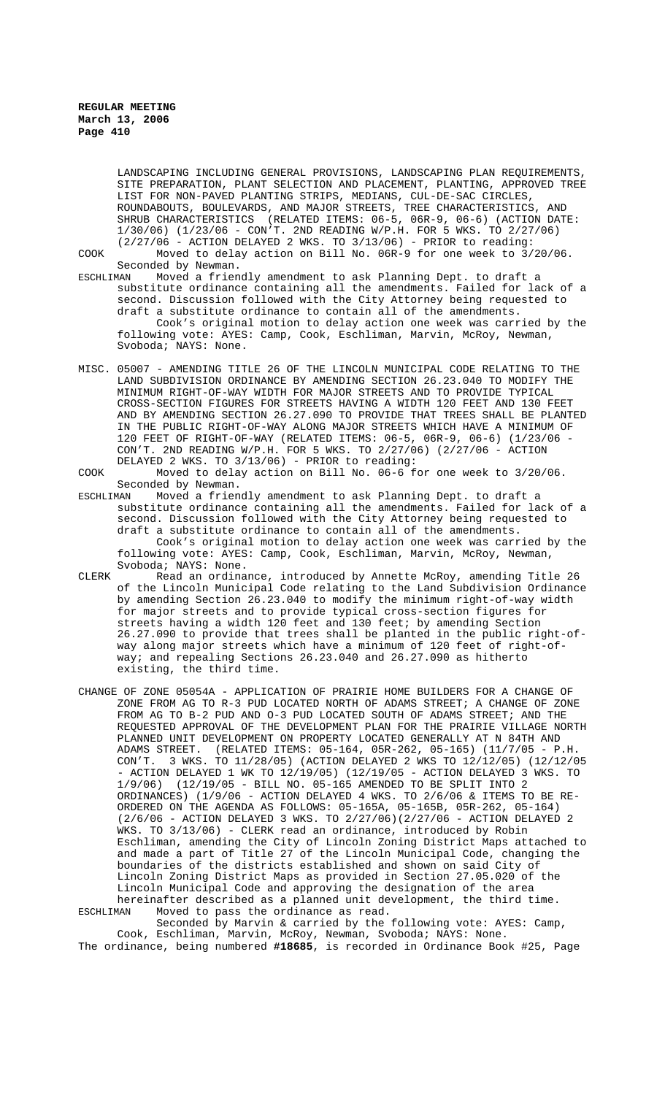Svoboda; NAYS: None.

LANDSCAPING INCLUDING GENERAL PROVISIONS, LANDSCAPING PLAN REQUIREMENTS, SITE PREPARATION, PLANT SELECTION AND PLACEMENT, PLANTING, APPROVED TREE LIST FOR NON-PAVED PLANTING STRIPS, MEDIANS, CUL-DE-SAC CIRCLES, ROUNDABOUTS, BOULEVARDS, AND MAJOR STREETS, TREE CHARACTERISTICS, AND SHRUB CHARACTERISTICS (RELATED ITEMS: 06-5, 06R-9, 06-6) (ACTION DATE: 1/30/06) (1/23/06 - CON'T. 2ND READING W/P.H. FOR 5 WKS. TO 2/27/06)  $(2/27/06$  - ACTION DELAYED 2 WKS. TO  $3/13/06$ ) - PRIOR to reading: COOK Moved to delay action on Bill No. 06R-9 for one week to 3/20/06.

Seconded by Newman.<br>ESCHLIMAN Moved a frien Moved a friendly amendment to ask Planning Dept. to draft a substitute ordinance containing all the amendments. Failed for lack of a second. Discussion followed with the City Attorney being requested to draft a substitute ordinance to contain all of the amendments. Cook's original motion to delay action one week was carried by the following vote: AYES: Camp, Cook, Eschliman, Marvin, McRoy, Newman,

MISC. 05007 - AMENDING TITLE 26 OF THE LINCOLN MUNICIPAL CODE RELATING TO THE LAND SUBDIVISION ORDINANCE BY AMENDING SECTION 26.23.040 TO MODIFY THE MINIMUM RIGHT-OF-WAY WIDTH FOR MAJOR STREETS AND TO PROVIDE TYPICAL CROSS-SECTION FIGURES FOR STREETS HAVING A WIDTH 120 FEET AND 130 FEET AND BY AMENDING SECTION 26.27.090 TO PROVIDE THAT TREES SHALL BE PLANTED IN THE PUBLIC RIGHT-OF-WAY ALONG MAJOR STREETS WHICH HAVE A MINIMUM OF 120 FEET OF RIGHT-OF-WAY (RELATED ITEMS: 06-5, 06R-9, 06-6) (1/23/06 - CON'T. 2ND READING W/P.H. FOR 5 WKS. TO 2/27/06) (2/27/06 - ACTION DELAYED 2 WKS. TO 3/13/06) - PRIOR to reading:

COOK Moved to delay action on Bill No. 06-6 for one week to 3/20/06. Seconded by Newman.<br>ESCHLIMAN Moved a frien

- Moved a friendly amendment to ask Planning Dept. to draft a substitute ordinance containing all the amendments. Failed for lack of a second. Discussion followed with the City Attorney being requested to draft a substitute ordinance to contain all of the amendments. Cook's original motion to delay action one week was carried by the following vote: AYES: Camp, Cook, Eschliman, Marvin, McRoy, Newman, Svoboda; NAYS: None.
- CLERK Read an ordinance, introduced by Annette McRoy, amending Title 26 of the Lincoln Municipal Code relating to the Land Subdivision Ordinance by amending Section 26.23.040 to modify the minimum right-of-way width for major streets and to provide typical cross-section figures for streets having a width 120 feet and 130 feet; by amending Section 26.27.090 to provide that trees shall be planted in the public right-ofway along major streets which have a minimum of 120 feet of right-ofway; and repealing Sections 26.23.040 and 26.27.090 as hitherto existing, the third time.
- CHANGE OF ZONE 05054A APPLICATION OF PRAIRIE HOME BUILDERS FOR A CHANGE OF ZONE FROM AG TO R-3 PUD LOCATED NORTH OF ADAMS STREET; A CHANGE OF ZONE FROM AG TO B-2 PUD AND O-3 PUD LOCATED SOUTH OF ADAMS STREET; AND THE REQUESTED APPROVAL OF THE DEVELOPMENT PLAN FOR THE PRAIRIE VILLAGE NORTH PLANNED UNIT DEVELOPMENT ON PROPERTY LOCATED GENERALLY AT N 84TH AND ADAMS STREET. (RELATED ITEMS: 05-164, 05R-262, 05-165) (11/7/05 - P.H. CON'T. 3 WKS. TO 11/28/05) (ACTION DELAYED 2 WKS TO 12/12/05) (12/12/05 - ACTION DELAYED 1 WK TO 12/19/05) (12/19/05 - ACTION DELAYED 3 WKS. TO 1/9/06) (12/19/05 - BILL NO. 05-165 AMENDED TO BE SPLIT INTO 2 ORDINANCES) (1/9/06 - ACTION DELAYED 4 WKS. TO 2/6/06 & ITEMS TO BE RE-ORDERED ON THE AGENDA AS FOLLOWS: 05-165A, 05-165B, 05R-262, 05-164) (2/6/06 - ACTION DELAYED 3 WKS. TO 2/27/06)(2/27/06 - ACTION DELAYED 2 WKS. TO 3/13/06) - CLERK read an ordinance, introduced by Robin Eschliman, amending the City of Lincoln Zoning District Maps attached to and made a part of Title 27 of the Lincoln Municipal Code, changing the boundaries of the districts established and shown on said City of Lincoln Zoning District Maps as provided in Section 27.05.020 of the Lincoln Municipal Code and approving the designation of the area hereinafter described as a planned unit development, the third time. ESCHLIMAN Moved to pass the ordinance as read.

Seconded by Marvin & carried by the following vote: AYES: Camp, Cook, Eschliman, Marvin, McRoy, Newman, Svoboda; NAYS: None. The ordinance, being numbered **#18685**, is recorded in Ordinance Book #25, Page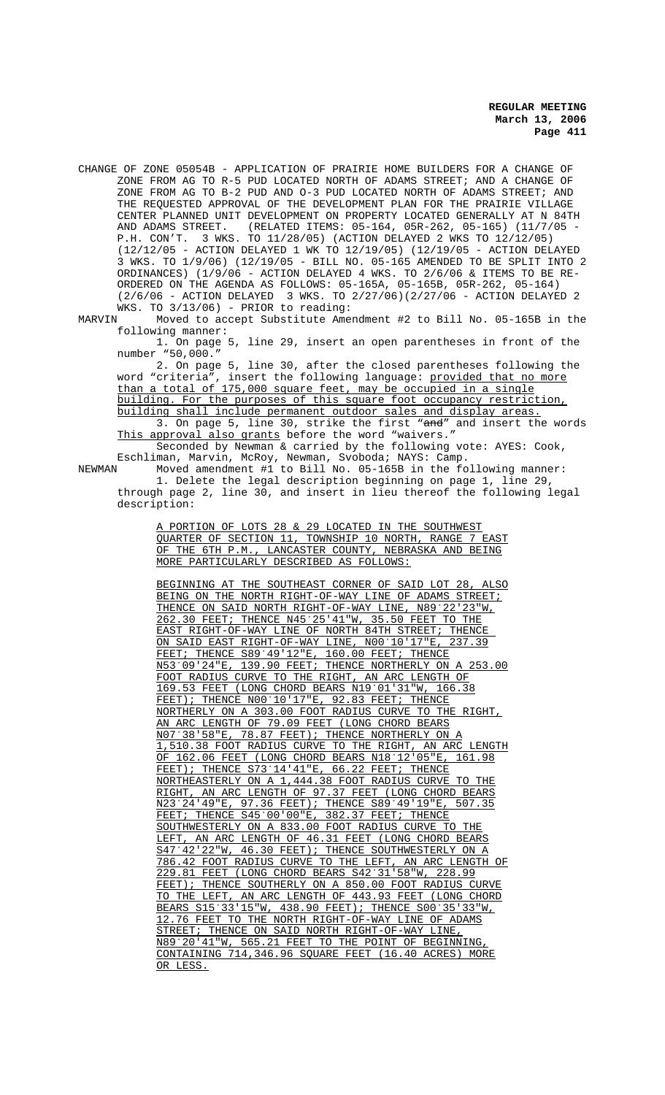CHANGE OF ZONE 05054B - APPLICATION OF PRAIRIE HOME BUILDERS FOR A CHANGE OF ZONE FROM AG TO R-5 PUD LOCATED NORTH OF ADAMS STREET; AND A CHANGE OF ZONE FROM AG TO B-2 PUD AND O-3 PUD LOCATED NORTH OF ADAMS STREET; AND THE REQUESTED APPROVAL OF THE DEVELOPMENT PLAN FOR THE PRAIRIE VILLAGE CENTER PLANNED UNIT DEVELOPMENT ON PROPERTY LOCATED GENERALLY AT N 84TH AND ADAMS STREET. (RELATED ITEMS: 05-164, 05R-262, 05-165) (11/7/05 - P.H. CON'T. 3 WKS. TO 11/28/05) (ACTION DELAYED 2 WKS TO 12/12/05) (12/12/05 - ACTION DELAYED 1 WK TO 12/19/05) (12/19/05 - ACTION DELAYED 3 WKS. TO 1/9/06) (12/19/05 - BILL NO. 05-165 AMENDED TO BE SPLIT INTO 2 ORDINANCES) (1/9/06 - ACTION DELAYED 4 WKS. TO 2/6/06 & ITEMS TO BE RE-ORDERED ON THE AGENDA AS FOLLOWS: 05-165A, 05-165B, 05R-262, 05-164) (2/6/06 - ACTION DELAYED 3 WKS. TO 2/27/06)(2/27/06 - ACTION DELAYED 2

WKS. TO 3/13/06) - PRIOR to reading:<br>MARVIN Moved to accept Substitute Ame Moved to accept Substitute Amendment #2 to Bill No. 05-165B in the following manner:

1. On page 5, line 29, insert an open parentheses in front of the number "50,000."

2. On page 5, line 30, after the closed parentheses following the word "criteria", insert the following language: <u>provided that no more</u> than a total of 175,000 square feet, may be occupied in a single building. For the purposes of this square foot occupancy restriction, building shall include permanent outdoor sales and display areas.<br>3. On page 5, line 30, strike the first "<del>and</del>" and insert the words 3. On page 5, line 30, strike the first This approval also grants before the word "waivers."

Seconded by  $\overline{\text{Newton}}$  & carried by the following vote: AYES: Cook, Eschliman, Marvin, McRoy, Newman, Svoboda; NAYS: Camp.

NEWMAN Moved amendment #1 to Bill No. 05-165B in the following manner: 1. Delete the legal description beginning on page 1, line 29, through page 2, line 30, and insert in lieu thereof the following legal description:

> A PORTION OF LOTS 28 & 29 LOCATED IN THE SOUTHWEST QUARTER OF SECTION 11, TOWNSHIP 10 NORTH, RANGE 7 EAST OF THE 6TH P.M., LANCASTER COUNTY, NEBRASKA AND BEING MORE PARTICULARLY DESCRIBED AS FOLLOWS:

> BEGINNING AT THE SOUTHEAST CORNER OF SAID LOT 28, ALSO BEING ON THE NORTH RIGHT-OF-WAY LINE OF ADAMS STREET; THENCE ON SAID NORTH RIGHT-OF-WAY LINE, N89°22'23"W, 262.30 FEET; THENCE N45/25'41"W, 35.50 FEET TO THE EAST RIGHT-OF-WAY LINE OF NORTH 84TH STREET; THENCE ON SAID EAST RIGHT-OF-WAY LINE, NOO'10'17"E, 237.39 FEET; THENCE S89/49'12"E, 160.00 FEET; THENCE N53/09'24"E, 139.90 FEET; THENCE NORTHERLY ON A 253.00 FOOT RADIUS CURVE TO THE RIGHT, AN ARC LENGTH OF 169.53 FEET (LONG CHORD BEARS N19/01'31"W, 166.38 FEET); THENCE NOO°10'17"E, 92.83 FEET; THENCE NORTHERLY ON A 303.00 FOOT RADIUS CURVE TO THE RIGHT, AN ARC LENGTH OF 79.09 FEET (LONG CHORD BEARS N07/38'58"E, 78.87 FEET); THENCE NORTHERLY ON A 1,510.38 FOOT RADIUS CURVE TO THE RIGHT, AN ARC LENGTH<br>OF 162.06 FEET (LONG CHORD BEARS N18°12'05"E, 161.98 OF 162.06 FEET (LONG CHORD BEARS N18'12'05"E FEET); THENCE S73°14'41"E, 66.22 FEET; THENCE NORTHEASTERLY ON A 1,444.38 FOOT RADIUS CURVE TO THE RIGHT, AN ARC LENGTH OF 97.37 FEET (LONG CHORD BEARS N23<sup>°</sup>24'49"E, 97.36 FEET); THENCE S89°49'19"E, 507.35 FEET; THENCE S45°00'00"E, 382.37 FEET; THENCE SOUTHWESTERLY ON A 833.00 FOOT RADIUS CURVE TO THE LEFT, AN ARC LENGTH OF 46.31 FEET (LONG CHORD BEARS S47°42'22"W, 46.30 FEET); THENCE SOUTHWESTERLY ON A 786.42 FOOT RADIUS CURVE TO THE LEFT, AN ARC LENGTH OF 229.81 FEET (LONG CHORD BEARS S42/31'58"W, 228.99 FEET); THENCE SOUTHERLY ON A 850.00 FOOT RADIUS CURVE TO THE LEFT, AN ARC LENGTH OF 443.93 FEET (LONG CHORD BEARS S15°33'15"W, 438.90 FEET); THENCE S00°35'33"W, 12.76 FEET TO THE NORTH RIGHT-OF-WAY LINE OF ADAMS STREET; THENCE ON SAID NORTH RIGHT-OF-WAY LINE, N89/20'41"W, 565.21 FEET TO THE POINT OF BEGINNING, CONTAINING 714,346.96 SQUARE FEET (16.40 ACRES) MORE OR LESS.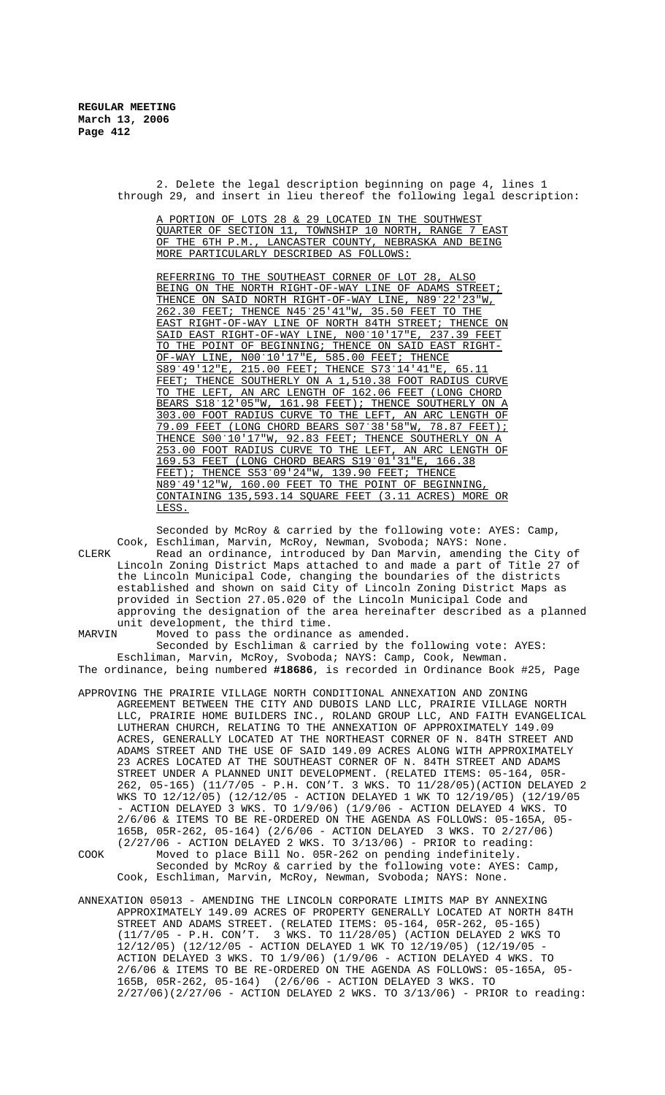2. Delete the legal description beginning on page 4, lines 1 through 29, and insert in lieu thereof the following legal description:

A PORTION OF LOTS 28 & 29 LOCATED IN THE SOUTHWEST QUARTER OF SECTION 11, TOWNSHIP 10 NORTH, RANGE 7 EAST OF THE 6TH P.M., LANCASTER COUNTY, NEBRASKA AND BEING MORE PARTICULARLY DESCRIBED AS FOLLOWS:

REFERRING TO THE SOUTHEAST CORNER OF LOT 28, ALSO BEING ON THE NORTH RIGHT-OF-WAY LINE OF ADAMS STREET; THENCE ON SAID NORTH RIGHT-OF-WAY LINE, N89°22'23"W, 262.30 FEET; THENCE N45/25'41"W, 35.50 FEET TO THE EAST RIGHT-OF-WAY LINE OF NORTH 84TH STREET; THENCE ON<br>SAID EAST RIGHT-OF-WAY LINE, N00°10'17"E, 237.39 FEET SAID EAST RIGHT-OF-WAY LINE, NOO'10'17"E, TO THE POINT OF BEGINNING; THENCE ON SAID EAST RIGHT-OF-WAY LINE, N00/10'17"E, 585.00 FEET; THENCE S89°49'12"E, 215.00 FEET; THENCE S73°14'41"E, 65.11 FEET; THENCE SOUTHERLY ON A 1,510.38 FOOT RADIUS CURVE TO THE LEFT, AN ARC LENGTH OF 162.06 FEET (LONG CHORD BEARS S18°12'05"W, 161.98 FEET); THENCE SOUTHERLY ON A 303.00 FOOT RADIUS CURVE TO THE LEFT, AN ARC LENGTH OF 79.09 FEET (LONG CHORD BEARS S07°38'58"W, 78.87 FEET); THENCE S00°10'17"W, 92.83 FEET; THENCE SOUTHERLY ON A 253.00 FOOT RADIUS CURVE TO THE LEFT, AN ARC LENGTH OF 169.53 FEET (LONG CHORD BEARS S19/01'31"E, 166.38 FEET); THENCE S53°09'24"W, 139.90 FEET; THENCE N89°49'12"W, 160.00 FEET TO THE POINT OF BEGINNING, CONTAINING 135,593.14 SQUARE FEET (3.11 ACRES) MORE OR LESS.

Seconded by McRoy & carried by the following vote: AYES: Camp, Cook, Eschliman, Marvin, McRoy, Newman, Svoboda; NAYS: None. CLERK Read an ordinance, introduced by Dan Marvin, amending the City of Lincoln Zoning District Maps attached to and made a part of Title 27 of the Lincoln Municipal Code, changing the boundaries of the districts established and shown on said City of Lincoln Zoning District Maps as provided in Section 27.05.020 of the Lincoln Municipal Code and approving the designation of the area hereinafter described as a planned unit development, the third time.<br>MARVIN Moved to pass the ordinance Moved to pass the ordinance as amended.

Seconded by Eschliman & carried by the following vote: AYES: Eschliman, Marvin, McRoy, Svoboda; NAYS: Camp, Cook, Newman. The ordinance, being numbered **#18686**, is recorded in Ordinance Book #25, Page

- APPROVING THE PRAIRIE VILLAGE NORTH CONDITIONAL ANNEXATION AND ZONING AGREEMENT BETWEEN THE CITY AND DUBOIS LAND LLC, PRAIRIE VILLAGE NORTH LLC, PRAIRIE HOME BUILDERS INC., ROLAND GROUP LLC, AND FAITH EVANGELICAL LUTHERAN CHURCH, RELATING TO THE ANNEXATION OF APPROXIMATELY 149.09 ACRES, GENERALLY LOCATED AT THE NORTHEAST CORNER OF N. 84TH STREET AND ADAMS STREET AND THE USE OF SAID 149.09 ACRES ALONG WITH APPROXIMATELY 23 ACRES LOCATED AT THE SOUTHEAST CORNER OF N. 84TH STREET AND ADAMS STREET UNDER A PLANNED UNIT DEVELOPMENT. (RELATED ITEMS: 05-164, 05R-262, 05-165) (11/7/05 - P.H. CON'T. 3 WKS. TO 11/28/05)(ACTION DELAYED 2 WKS TO 12/12/05) (12/12/05 - ACTION DELAYED 1 WK TO 12/19/05) (12/19/05 - ACTION DELAYED 3 WKS. TO 1/9/06) (1/9/06 - ACTION DELAYED 4 WKS. TO 2/6/06 & ITEMS TO BE RE-ORDERED ON THE AGENDA AS FOLLOWS: 05-165A, 05- 165B, 05R-262, 05-164) (2/6/06 - ACTION DELAYED 3 WKS. TO 2/27/06)  $(2/27/06$  - ACTION DELAYED 2 WKS. TO  $3/13/06$ ) - PRIOR to reading: COOK Moved to place Bill No. 05R-262 on pending indefinitely. Seconded by McRoy & carried by the following vote: AYES: Camp, Cook, Eschliman, Marvin, McRoy, Newman, Svoboda; NAYS: None.
- ANNEXATION 05013 AMENDING THE LINCOLN CORPORATE LIMITS MAP BY ANNEXING APPROXIMATELY 149.09 ACRES OF PROPERTY GENERALLY LOCATED AT NORTH 84TH STREET AND ADAMS STREET. (RELATED ITEMS: 05-164, 05R-262, 05-165) (11/7/05 - P.H. CON'T. 3 WKS. TO 11/28/05) (ACTION DELAYED 2 WKS TO 12/12/05) (12/12/05 - ACTION DELAYED 1 WK TO 12/19/05) (12/19/05 - ACTION DELAYED 3 WKS. TO 1/9/06) (1/9/06 - ACTION DELAYED 4 WKS. TO 2/6/06 & ITEMS TO BE RE-ORDERED ON THE AGENDA AS FOLLOWS: 05-165A, 05- 165B, 05R-262, 05-164) (2/6/06 - ACTION DELAYED 3 WKS. TO 2/27/06)(2/27/06 - ACTION DELAYED 2 WKS. TO 3/13/06) - PRIOR to reading: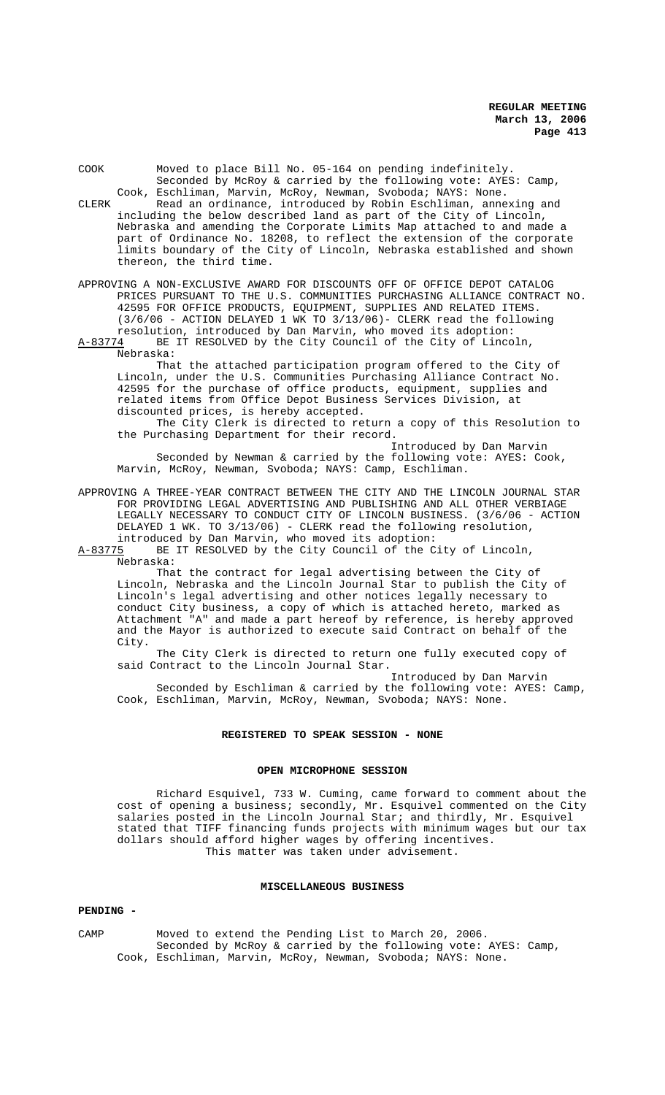| COOK  |                                                                       | Moved to place Bill No. 05-164 on pending indefinitely.<br>Seconded by McRoy & carried by the following vote: AYES: Camp, |  |  |  |
|-------|-----------------------------------------------------------------------|---------------------------------------------------------------------------------------------------------------------------|--|--|--|
|       |                                                                       | Cook, Eschliman, Marvin, McRoy, Newman, Svoboda; NAYS: None.                                                              |  |  |  |
| CLERK |                                                                       | Read an ordinance, introduced by Robin Eschliman, annexing and                                                            |  |  |  |
|       | including the below described land as part of the City of Lincoln,    |                                                                                                                           |  |  |  |
|       | Nebraska and amending the Corporate Limits Map attached to and made a |                                                                                                                           |  |  |  |
|       |                                                                       | part of Ordinance No. 18208, to reflect the extension of the corporate                                                    |  |  |  |
|       |                                                                       | limits boundary of the City of Lincoln, Nebraska established and shown                                                    |  |  |  |
|       |                                                                       | thereon, the third time.                                                                                                  |  |  |  |
|       |                                                                       |                                                                                                                           |  |  |  |

APPROVING A NON-EXCLUSIVE AWARD FOR DISCOUNTS OFF OF OFFICE DEPOT CATALOG PRICES PURSUANT TO THE U.S. COMMUNITIES PURCHASING ALLIANCE CONTRACT NO. 42595 FOR OFFICE PRODUCTS, EQUIPMENT, SUPPLIES AND RELATED ITEMS. (3/6/06 - ACTION DELAYED 1 WK TO 3/13/06)- CLERK read the following resolution, introduced by Dan Marvin, who moved its adoption:

A-83774 BE IT RESOLVED by the City Council of the City of Lincoln, Nebraska:

That the attached participation program offered to the City of Lincoln, under the U.S. Communities Purchasing Alliance Contract No. 42595 for the purchase of office products, equipment, supplies and related items from Office Depot Business Services Division, at discounted prices, is hereby accepted.

The City Clerk is directed to return a copy of this Resolution to the Purchasing Department for their record.

Introduced by Dan Marvin Seconded by Newman & carried by the following vote: AYES: Cook, Marvin, McRoy, Newman, Svoboda; NAYS: Camp, Eschliman.

APPROVING A THREE-YEAR CONTRACT BETWEEN THE CITY AND THE LINCOLN JOURNAL STAR FOR PROVIDING LEGAL ADVERTISING AND PUBLISHING AND ALL OTHER VERBIAGE LEGALLY NECESSARY TO CONDUCT CITY OF LINCOLN BUSINESS. (3/6/06 - ACTION DELAYED 1 WK. TO 3/13/06) - CLERK read the following resolution, introduced by Dan Marvin, who moved its adoption:

A-83775 BE IT RESOLVED by the City Council of the City of Lincoln,

Nebraska:

That the contract for legal advertising between the City of Lincoln, Nebraska and the Lincoln Journal Star to publish the City of Lincoln's legal advertising and other notices legally necessary to conduct City business, a copy of which is attached hereto, marked as Attachment "A" and made a part hereof by reference, is hereby approved and the Mayor is authorized to execute said Contract on behalf of the City.

The City Clerk is directed to return one fully executed copy of said Contract to the Lincoln Journal Star.

Introduced by Dan Marvin Seconded by Eschliman & carried by the following vote: AYES: Camp, Cook, Eschliman, Marvin, McRoy, Newman, Svoboda; NAYS: None.

### **REGISTERED TO SPEAK SESSION - NONE**

### **OPEN MICROPHONE SESSION**

Richard Esquivel, 733 W. Cuming, came forward to comment about the cost of opening a business; secondly, Mr. Esquivel commented on the City salaries posted in the Lincoln Journal Star; and thirdly, Mr. Esquivel stated that TIFF financing funds projects with minimum wages but our tax dollars should afford higher wages by offering incentives. This matter was taken under advisement.

### **MISCELLANEOUS BUSINESS**

#### **PENDING -**

CAMP Moved to extend the Pending List to March 20, 2006. Seconded by McRoy & carried by the following vote: AYES: Camp, Cook, Eschliman, Marvin, McRoy, Newman, Svoboda; NAYS: None.